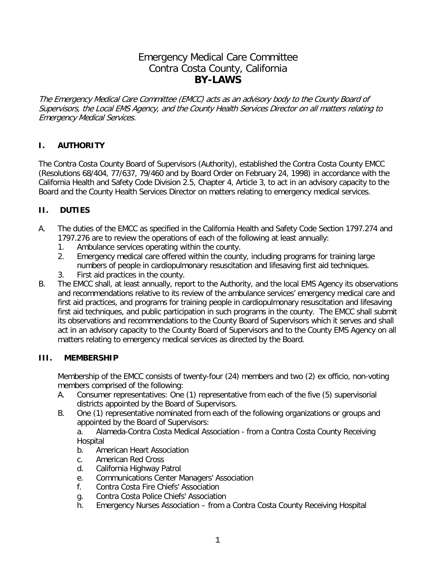# Emergency Medical Care Committee Contra Costa County, California **BY-LAWS**

The Emergency Medical Care Committee (EMCC) acts as an advisory body to the County Board of Supervisors, the Local EMS Agency, and the County Health Services Director on all matters relating to Emergency Medical Services.

### **I. AUTHORITY**

The Contra Costa County Board of Supervisors (Authority), established the Contra Costa County EMCC (Resolutions 68/404, 77/637, 79/460 and by Board Order on February 24, 1998) in accordance with the California Health and Safety Code Division 2.5, Chapter 4, Article 3, to act in an advisory capacity to the Board and the County Health Services Director on matters relating to emergency medical services.

### **II. DUTIES**

- A. The duties of the EMCC as specified in the California Health and Safety Code Section 1797.274 and 1797.276 are to review the operations of each of the following at least annually:
	- 1. Ambulance services operating within the county.
	- 2. Emergency medical care offered within the county, including programs for training large numbers of people in cardiopulmonary resuscitation and lifesaving first aid techniques.
	- 3. First aid practices in the county.
- B. The EMCC shall, at least annually, report to the Authority, and the local EMS Agency its observations and recommendations relative to its review of the ambulance services' emergency medical care and first aid practices, and programs for training people in cardiopulmonary resuscitation and lifesaving first aid techniques, and public participation in such programs in the county. The EMCC shall submit its observations and recommendations to the County Board of Supervisors which it serves and shall act in an advisory capacity to the County Board of Supervisors and to the County EMS Agency on all matters relating to emergency medical services as directed by the Board.

### **III. MEMBERSHIP**

Membership of the EMCC consists of twenty-four (24) members and two (2) ex officio, non-voting members comprised of the following:

- A. Consumer representatives: One (1) representative from each of the five (5) supervisorial districts appointed by the Board of Supervisors.
- B. One (1) representative nominated from each of the following organizations or groups and appointed by the Board of Supervisors:

a. Alameda-Contra Costa Medical Association - from a Contra Costa County Receiving **Hospital** 

- b. American Heart Association
- c. American Red Cross
- d. California Highway Patrol
- e. Communications Center Managers' Association
- f. Contra Costa Fire Chiefs' Association
- g. Contra Costa Police Chiefs' Association
- h. Emergency Nurses Association from a Contra Costa County Receiving Hospital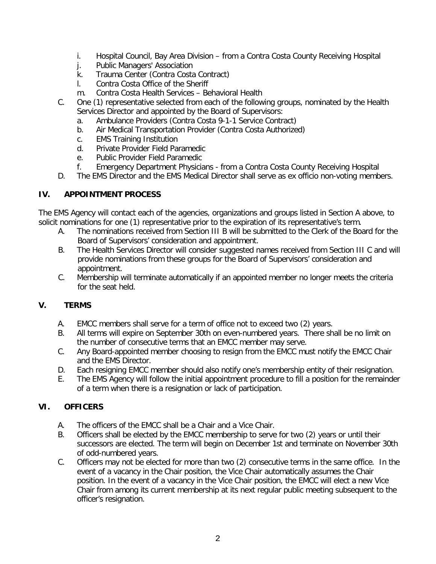- i. Hospital Council, Bay Area Division from a Contra Costa County Receiving Hospital
- j. Public Managers' Association
- k. Trauma Center (Contra Costa Contract)
- l. Contra Costa Office of the Sheriff
- m. Contra Costa Health Services Behavioral Health
- C. One (1) representative selected from each of the following groups, nominated by the Health Services Director and appointed by the Board of Supervisors:
	- a. Ambulance Providers (Contra Costa 9-1-1 Service Contract)
	- b. Air Medical Transportation Provider (Contra Costa Authorized)
	- c. EMS Training Institution
	- d. Private Provider Field Paramedic
	- e. Public Provider Field Paramedic
	- f. Emergency Department Physicians from a Contra Costa County Receiving Hospital
- D. The EMS Director and the EMS Medical Director shall serve as ex officio non-voting members.

#### **IV. APPOINTMENT PROCESS**

The EMS Agency will contact each of the agencies, organizations and groups listed in Section A above, to solicit nominations for one (1) representative prior to the expiration of its representative's term.

- A. The nominations received from Section III B will be submitted to the Clerk of the Board for the Board of Supervisors' consideration and appointment.
- B. The Health Services Director will consider suggested names received from Section III C and will provide nominations from these groups for the Board of Supervisors' consideration and appointment.
- C. Membership will terminate automatically if an appointed member no longer meets the criteria for the seat held.

### **V. TERMS**

- A. EMCC members shall serve for a term of office not to exceed two (2) years.
- B. All terms will expire on September 30th on even-numbered years. There shall be no limit on the number of consecutive terms that an EMCC member may serve.
- C. Any Board-appointed member choosing to resign from the EMCC must notify the EMCC Chair and the EMS Director.
- D. Each resigning EMCC member should also notify one's membership entity of their resignation.
- E. The EMS Agency will follow the initial appointment procedure to fill a position for the remainder of a term when there is a resignation or lack of participation.

### **VI. OFFICERS**

- A. The officers of the EMCC shall be a Chair and a Vice Chair.
- B. Officers shall be elected by the EMCC membership to serve for two (2) years or until their successors are elected. The term will begin on December 1st and terminate on November 30th of odd-numbered years.
- C. Officers may not be elected for more than two (2) consecutive terms in the same office. In the event of a vacancy in the Chair position, the Vice Chair automatically assumes the Chair position. In the event of a vacancy in the Vice Chair position, the EMCC will elect a new Vice Chair from among its current membership at its next regular public meeting subsequent to the officer's resignation.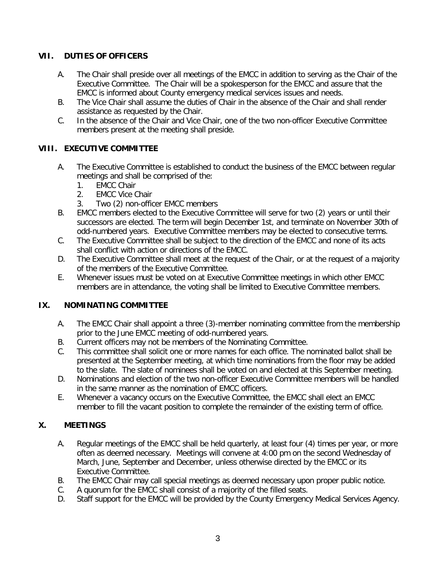### **VII. DUTIES OF OFFICERS**

- A. The Chair shall preside over all meetings of the EMCC in addition to serving as the Chair of the Executive Committee. The Chair will be a spokesperson for the EMCC and assure that the EMCC is informed about County emergency medical services issues and needs.
- B. The Vice Chair shall assume the duties of Chair in the absence of the Chair and shall render assistance as requested by the Chair.
- C. In the absence of the Chair and Vice Chair, one of the two non-officer Executive Committee members present at the meeting shall preside.

### **VIII. EXECUTIVE COMMITTEE**

- A. The Executive Committee is established to conduct the business of the EMCC between regular meetings and shall be comprised of the:
	- 1. EMCC Chair
	- 2. EMCC Vice Chair
	- 3. Two (2) non-officer EMCC members
- B. EMCC members elected to the Executive Committee will serve for two (2) years or until their successors are elected. The term will begin December 1st, and terminate on November 30th of odd-numbered years. Executive Committee members may be elected to consecutive terms.
- C. The Executive Committee shall be subject to the direction of the EMCC and none of its acts shall conflict with action or directions of the EMCC.
- D. The Executive Committee shall meet at the request of the Chair, or at the request of a majority of the members of the Executive Committee.
- E. Whenever issues must be voted on at Executive Committee meetings in which other EMCC members are in attendance, the voting shall be limited to Executive Committee members.

### **IX. NOMINATING COMMITTEE**

- A. The EMCC Chair shall appoint a three (3)-member nominating committee from the membership prior to the June EMCC meeting of odd-numbered years.
- B. Current officers may not be members of the Nominating Committee.
- C. This committee shall solicit one or more names for each office. The nominated ballot shall be presented at the September meeting, at which time nominations from the floor may be added to the slate. The slate of nominees shall be voted on and elected at this September meeting.
- D. Nominations and election of the two non-officer Executive Committee members will be handled in the same manner as the nomination of EMCC officers.
- E. Whenever a vacancy occurs on the Executive Committee, the EMCC shall elect an EMCC member to fill the vacant position to complete the remainder of the existing term of office.

### **X. MEETINGS**

- A. Regular meetings of the EMCC shall be held quarterly, at least four (4) times per year, or more often as deemed necessary. Meetings will convene at 4:00 pm on the second Wednesday of March, June, September and December, unless otherwise directed by the EMCC or its Executive Committee.
- B. The EMCC Chair may call special meetings as deemed necessary upon proper public notice.
- C. A quorum for the EMCC shall consist of a majority of the filled seats.
- D. Staff support for the EMCC will be provided by the County Emergency Medical Services Agency.